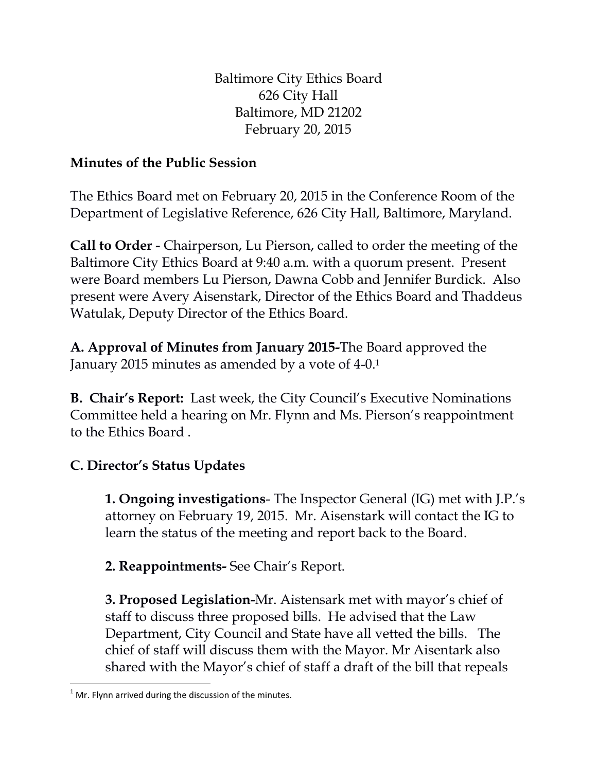Baltimore City Ethics Board 626 City Hall Baltimore, MD 21202 February 20, 2015

## **Minutes of the Public Session**

The Ethics Board met on February 20, 2015 in the Conference Room of the Department of Legislative Reference, 626 City Hall, Baltimore, Maryland.

**Call to Order -** Chairperson, Lu Pierson, called to order the meeting of the Baltimore City Ethics Board at 9:40 a.m. with a quorum present. Present were Board members Lu Pierson, Dawna Cobb and Jennifer Burdick. Also present were Avery Aisenstark, Director of the Ethics Board and Thaddeus Watulak, Deputy Director of the Ethics Board.

**A. Approval of Minutes from January 2015-**The Board approved the January 2015 minutes as amended by a vote of 4-0.<sup>1</sup>

**B. Chair's Report:** Last week, the City Council's Executive Nominations Committee held a hearing on Mr. Flynn and Ms. Pierson's reappointment to the Ethics Board .

## **C. Director's Status Updates**

**1. Ongoing investigations**- The Inspector General (IG) met with J.P.'s attorney on February 19, 2015. Mr. Aisenstark will contact the IG to learn the status of the meeting and report back to the Board.

**2. Reappointments-** See Chair's Report.

**3. Proposed Legislation-**Mr. Aistensark met with mayor's chief of staff to discuss three proposed bills. He advised that the Law Department, City Council and State have all vetted the bills. The chief of staff will discuss them with the Mayor. Mr Aisentark also shared with the Mayor's chief of staff a draft of the bill that repeals

 $\overline{\phantom{a}}$  $1$  Mr. Flynn arrived during the discussion of the minutes.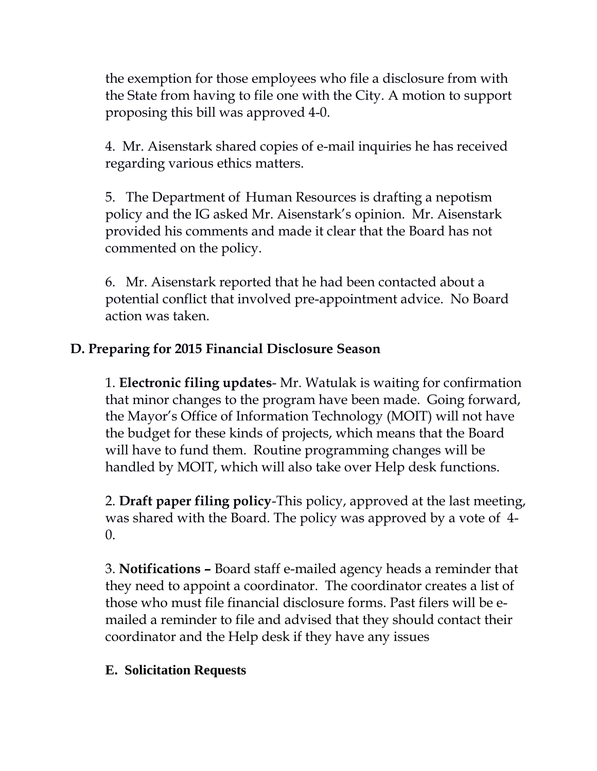the exemption for those employees who file a disclosure from with the State from having to file one with the City. A motion to support proposing this bill was approved 4-0.

4. Mr. Aisenstark shared copies of e-mail inquiries he has received regarding various ethics matters.

5. The Department of Human Resources is drafting a nepotism policy and the IG asked Mr. Aisenstark's opinion. Mr. Aisenstark provided his comments and made it clear that the Board has not commented on the policy.

6. Mr. Aisenstark reported that he had been contacted about a potential conflict that involved pre-appointment advice. No Board action was taken.

## **D. Preparing for 2015 Financial Disclosure Season**

1. **Electronic filing updates**- Mr. Watulak is waiting for confirmation that minor changes to the program have been made. Going forward, the Mayor's Office of Information Technology (MOIT) will not have the budget for these kinds of projects, which means that the Board will have to fund them. Routine programming changes will be handled by MOIT, which will also take over Help desk functions.

2. **Draft paper filing policy**-This policy, approved at the last meeting, was shared with the Board. The policy was approved by a vote of 4- 0.

3. **Notifications –** Board staff e-mailed agency heads a reminder that they need to appoint a coordinator. The coordinator creates a list of those who must file financial disclosure forms. Past filers will be emailed a reminder to file and advised that they should contact their coordinator and the Help desk if they have any issues

## **E. Solicitation Requests**